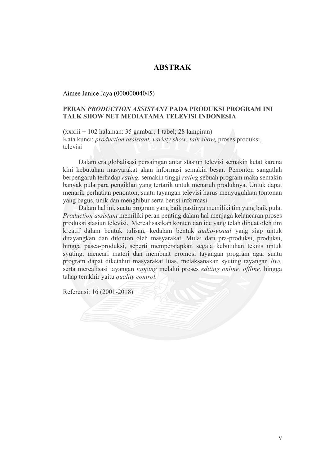## **ABSTRAK**

Aimee Janice Jaya (00000004045)

## **PERAN** *PRODUCTION ASSISTANT* **PADA PRODUKSI PROGRAM INI TALK SHOW NET MEDIATAMA TELEVISI INDONESIA**

**(**xxxiii + 102 halaman: 35 gambar; 1 tabel; 28 lampiran) Kata kunci: *production assistant, variety show, talk show,* proses produksi, televisi

Dalam era globalisasi persaingan antar stasiun televisi semakin ketat karena kini kebutuhan masyarakat akan informasi semakin besar. Penonton sangatlah berpengaruh terhadap *rating,* semakin tinggi *rating* sebuah program maka semakin banyak pula para pengiklan yang tertarik untuk menaruh produknya. Untuk dapat menarik perhatian penonton, suatu tayangan televisi harus menyuguhkan tontonan yang bagus, unik dan menghibur serta berisi informasi.

Dalam hal ini, suatu program yang baik pastinya memiliki tim yang baik pula. *Production assistant* memiliki peran penting dalam hal menjaga kelancaran proses produksi stasiun televisi. Merealisasikan konten dan ide yang telah dibuat oleh tim kreatif dalam bentuk tulisan, kedalam bentuk *audio-visual* yang siap untuk ditayangkan dan ditonton oleh masyarakat. Mulai dari pra-produksi, produksi, hingga pasca-produksi, seperti mempersiapkan segala kebutuhan teknis untuk syuting, mencari materi dan membuat promosi tayangan program agar suatu program dapat diketahui masyarakat luas, melaksanakan syuting tayangan *live,*  serta merealisasi tayangan *tapping* melalui proses *editing online, offline,* hingga tahap terakhir yaitu *quality control.* 

Referensi: 16 (2001-2018)